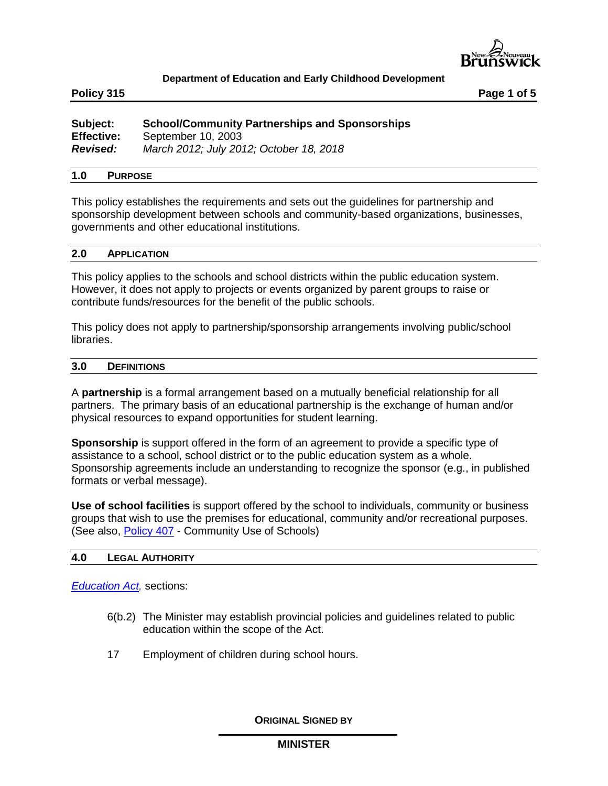

**Policy 315 Page 1 of 5**

| Subject:          | <b>School/Community Partnerships and Sponsorships</b> |
|-------------------|-------------------------------------------------------|
| <b>Effective:</b> | September 10, 2003                                    |
| <b>Revised:</b>   | March 2012; July 2012; October 18, 2018               |

#### **1.0 PURPOSE**

This policy establishes the requirements and sets out the guidelines for partnership and sponsorship development between schools and community-based organizations, businesses, governments and other educational institutions.

#### **2.0 APPLICATION**

This policy applies to the schools and school districts within the public education system. However, it does not apply to projects or events organized by parent groups to raise or contribute funds/resources for the benefit of the public schools.

This policy does not apply to partnership/sponsorship arrangements involving public/school libraries.

# **3.0 DEFINITIONS**

A **partnership** is a formal arrangement based on a mutually beneficial relationship for all partners. The primary basis of an educational partnership is the exchange of human and/or physical resources to expand opportunities for student learning.

**Sponsorship** is support offered in the form of an agreement to provide a specific type of assistance to a school, school district or to the public education system as a whole. Sponsorship agreements include an understanding to recognize the sponsor (e.g., in published formats or verbal message).

**Use of school facilities** is support offered by the school to individuals, community or business groups that wish to use the premises for educational, community and/or recreational purposes. (See also, [Policy 407](http://www2.gnb.ca/content/dam/gnb/Departments/ed/pdf/K12/policies-politiques/e/407A.pdf) - Community Use of Schools)

## **4.0 LEGAL AUTHORITY**

### *[Education Act,](http://laws.gnb.ca/en/ShowPdf/cs/E-1.12.pdf)* sections:

- 6(b.2) The Minister may establish provincial policies and guidelines related to public education within the scope of the Act.
- 17 Employment of children during school hours.

**ORIGINAL SIGNED BY**

#### **MINISTER**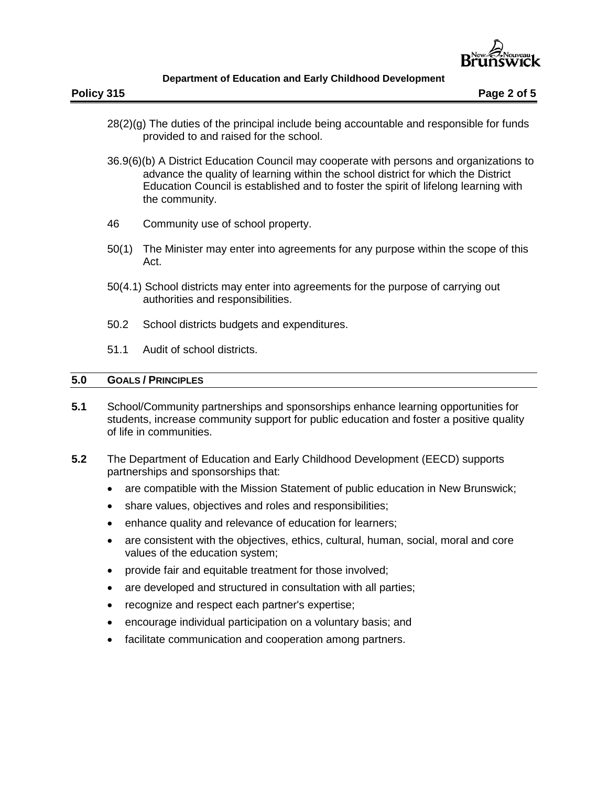

- 28(2)(g) The duties of the principal include being accountable and responsible for funds provided to and raised for the school.
- 36.9(6)(b) A District Education Council may cooperate with persons and organizations to advance the quality of learning within the school district for which the District Education Council is established and to foster the spirit of lifelong learning with the community.
- 46 Community use of school property.
- 50(1) The Minister may enter into agreements for any purpose within the scope of this Act.
- 50(4.1) School districts may enter into agreements for the purpose of carrying out authorities and responsibilities.
- 50.2 School districts budgets and expenditures.
- 51.1 Audit of school districts.

# **5.0 GOALS / PRINCIPLES**

- **5.1** School/Community partnerships and sponsorships enhance learning opportunities for students, increase community support for public education and foster a positive quality of life in communities.
- **5.2** The Department of Education and Early Childhood Development (EECD) supports partnerships and sponsorships that:
	- are compatible with the Mission Statement of public education in New Brunswick;
	- share values, objectives and roles and responsibilities;
	- enhance quality and relevance of education for learners;
	- are consistent with the objectives, ethics, cultural, human, social, moral and core values of the education system;
	- provide fair and equitable treatment for those involved;
	- are developed and structured in consultation with all parties;
	- recognize and respect each partner's expertise;
	- encourage individual participation on a voluntary basis; and
	- facilitate communication and cooperation among partners.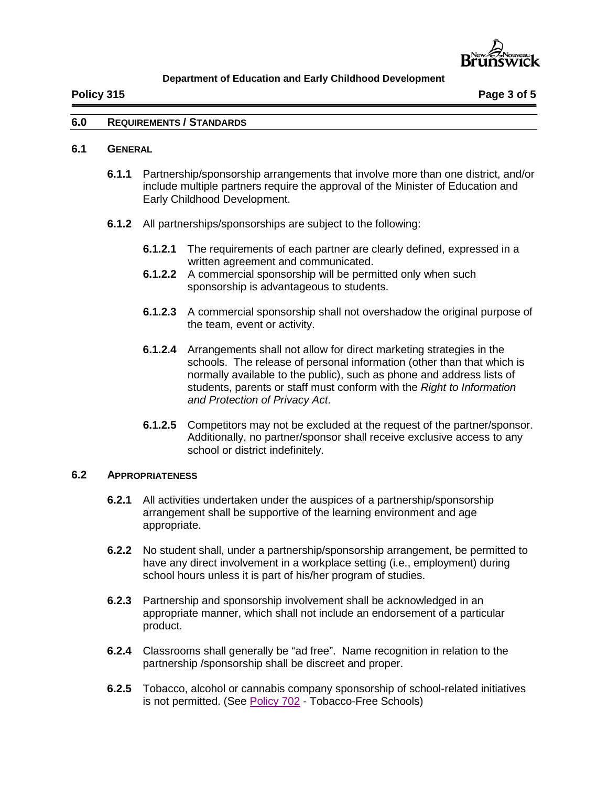

#### **6.0 REQUIREMENTS / STANDARDS**

### **6.1 GENERAL**

- **6.1.1** Partnership/sponsorship arrangements that involve more than one district, and/or include multiple partners require the approval of the Minister of Education and Early Childhood Development.
- **6.1.2** All partnerships/sponsorships are subject to the following:
	- **6.1.2.1** The requirements of each partner are clearly defined, expressed in a written agreement and communicated.
	- **6.1.2.2** A commercial sponsorship will be permitted only when such sponsorship is advantageous to students.
	- **6.1.2.3** A commercial sponsorship shall not overshadow the original purpose of the team, event or activity.
	- **6.1.2.4** Arrangements shall not allow for direct marketing strategies in the schools. The release of personal information (other than that which is normally available to the public), such as phone and address lists of students, parents or staff must conform with the *Right to Information and Protection of Privacy Act*.
	- **6.1.2.5** Competitors may not be excluded at the request of the partner/sponsor. Additionally, no partner/sponsor shall receive exclusive access to any school or district indefinitely.

#### **6.2 APPROPRIATENESS**

- **6.2.1** All activities undertaken under the auspices of a partnership/sponsorship arrangement shall be supportive of the learning environment and age appropriate.
- **6.2.2** No student shall, under a partnership/sponsorship arrangement, be permitted to have any direct involvement in a workplace setting (i.e., employment) during school hours unless it is part of his/her program of studies.
- **6.2.3** Partnership and sponsorship involvement shall be acknowledged in an appropriate manner, which shall not include an endorsement of a particular product.
- **6.2.4** Classrooms shall generally be "ad free". Name recognition in relation to the partnership /sponsorship shall be discreet and proper.
- **6.2.5** Tobacco, alcohol or cannabis company sponsorship of school-related initiatives is not permitted. (See [Policy 702](http://www2.gnb.ca/content/dam/gnb/Departments/ed/pdf/K12/policies-politiques/e/702A.pdf) - Tobacco-Free Schools)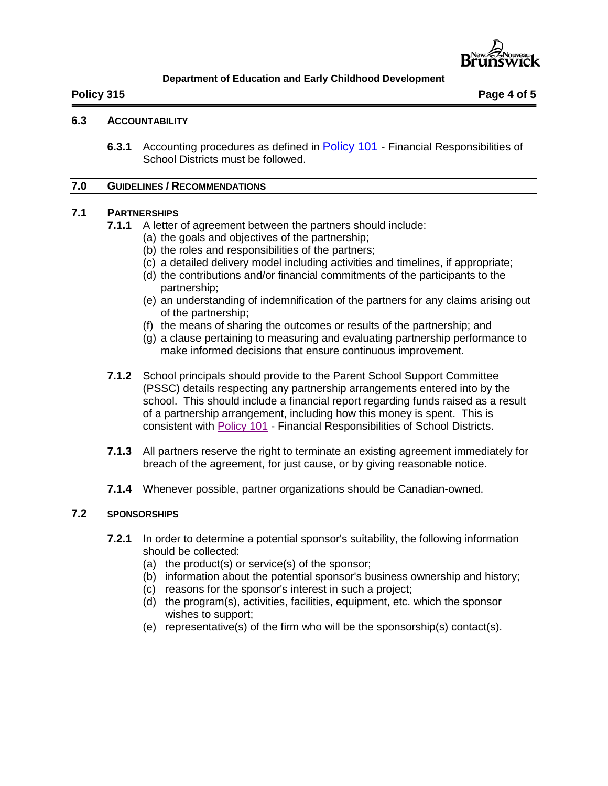

# **6.3 ACCOUNTABILITY**

**6.3.1** Accounting procedures as defined in [Policy 101](http://www2.gnb.ca/content/dam/gnb/Departments/ed/pdf/K12/policies-politiques/e/101A.pdf) - Financial Responsibilities of School Districts must be followed.

#### **7.0 GUIDELINES / RECOMMENDATIONS**

# **7.1 PARTNERSHIPS**

- **7.1.1** A letter of agreement between the partners should include:
	- (a) the goals and objectives of the partnership;
	- (b) the roles and responsibilities of the partners;
	- (c) a detailed delivery model including activities and timelines, if appropriate;
	- (d) the contributions and/or financial commitments of the participants to the partnership;
	- (e) an understanding of indemnification of the partners for any claims arising out of the partnership;
	- (f) the means of sharing the outcomes or results of the partnership; and
	- (g) a clause pertaining to measuring and evaluating partnership performance to make informed decisions that ensure continuous improvement.
- **7.1.2** School principals should provide to the Parent School Support Committee (PSSC) details respecting any partnership arrangements entered into by the school. This should include a financial report regarding funds raised as a result of a partnership arrangement, including how this money is spent. This is consistent with [Policy 101](http://www2.gnb.ca/content/dam/gnb/Departments/ed/pdf/K12/policies-politiques/e/101A.pdf) - Financial Responsibilities of School Districts.
- **7.1.3** All partners reserve the right to terminate an existing agreement immediately for breach of the agreement, for just cause, or by giving reasonable notice.
- **7.1.4** Whenever possible, partner organizations should be Canadian-owned.

# **7.2 SPONSORSHIPS**

- **7.2.1** In order to determine a potential sponsor's suitability, the following information should be collected:
	- (a) the product(s) or service(s) of the sponsor;
	- (b) information about the potential sponsor's business ownership and history;
	- (c) reasons for the sponsor's interest in such a project;
	- (d) the program(s), activities, facilities, equipment, etc. which the sponsor wishes to support;
	- (e) representative(s) of the firm who will be the sponsorship(s) contact(s).